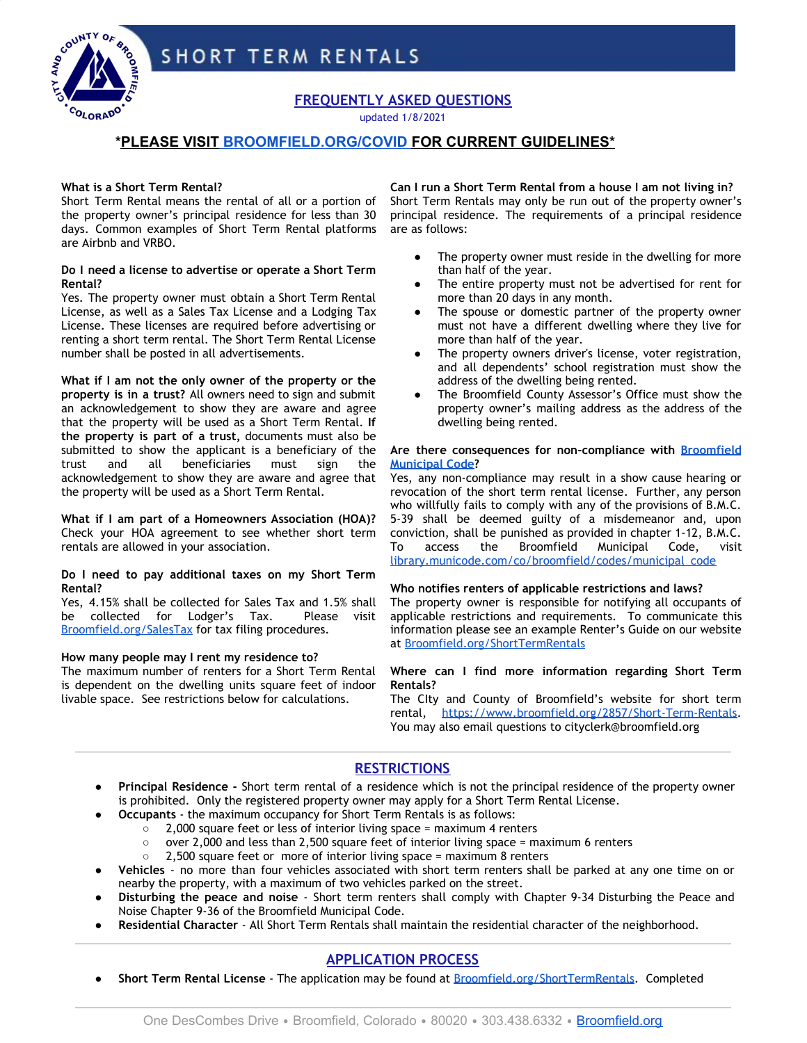



**FREQUENTLY ASKED QUESTIONS**

updated 1/8/2021

## **\*PLEASE VISIT [BROOMFIELD.ORG/COVID](https://www.broomfield.org/3123/COVID-19-Information) FOR CURRENT GUIDELINES\***

## **What is a Short Term Rental?**

Short Term Rental means the rental of all or a portion of the property owner's principal residence for less than 30 days. Common examples of Short Term Rental platforms are Airbnb and VRBO.

## **Do I need a license to advertise or operate a Short Term Rental?**

Yes. The property owner must obtain a Short Term Rental License, as well as a Sales Tax License and a Lodging Tax License. These licenses are required before advertising or renting a short term rental. The Short Term Rental License number shall be posted in all advertisements.

**What if I am not the only owner of the property or the property is in a trust?** All owners need to sign and submit an acknowledgement to show they are aware and agree that the property will be used as a Short Term Rental. **If the property is part of a trust,** documents must also be submitted to show the applicant is a beneficiary of the trust and all beneficiaries must sign the acknowledgement to show they are aware and agree that the property will be used as a Short Term Rental.

**What if I am part of a Homeowners Association (HOA)?** Check your HOA agreement to see whether short term rentals are allowed in your association.

#### **Do I need to pay additional taxes on my Short Term Rental?**

Yes, 4.15% shall be collected for Sales Tax and 1.5% shall be collected for Lodger's Tax. Please visit [Broomfield.org/SalesTax](http://www.broomfield.org/salestax) for tax filing procedures.

## **How many people may I rent my residence to?**

The maximum number of renters for a Short Term Rental is dependent on the dwelling units square feet of indoor livable space. See restrictions below for calculations.

**Can I run a Short Term Rental from a house I am not living in?** Short Term Rentals may only be run out of the property owner's principal residence. The requirements of a principal residence are as follows:

- The property owner must reside in the dwelling for more than half of the year.
- The entire property must not be advertised for rent for more than 20 days in any month.
- The spouse or domestic partner of the property owner must not have a different dwelling where they live for more than half of the year.
- The property owners driver's license, voter registration, and all dependents' school registration must show the address of the dwelling being rented.
- The Broomfield County Assessor's Office must show the property owner's mailing address as the address of the dwelling being rented.

### **Are there consequences for non-compliance with [Broomfield](https://library.municode.com/co/broomfield/codes/municipal_code?nodeId=TIT5BUTALIRE_CH5-38SEDEPA_5-38-100VI) [Municipal Code?](https://library.municode.com/co/broomfield/codes/municipal_code?nodeId=TIT5BUTALIRE_CH5-38SEDEPA_5-38-100VI)**

Yes, any non-compliance may result in a show cause hearing or revocation of the short term rental license. Further, any person who willfully fails to comply with any of the provisions of B.M.C. 5-39 shall be deemed guilty of a misdemeanor and, upon conviction, shall be punished as provided in chapter 1-12, B.M.C. To access the Broomfield Municipal Code, visit [library.municode.com/co/broomfield/codes/municipal\\_code](https://library.municode.com/co/broomfield/codes/municipal_code)

## **Who notifies renters of applicable restrictions and laws?**

The property owner is responsible for notifying all occupants of applicable restrictions and requirements. To communicate this information please see an example Renter's Guide on our website at [Broomfield.org/ShortTermRentals](http://www.broomfield.org/shorttermrentals)

## **Where can I find more information regarding Short Term Rentals?**

The CIty and County of Broomfield's website for short term rental, [https://www.broomfield.org/2857/Short-Term-Rentals.](https://www.broomfield.org/2857/Short-Term-Rentals) You may also email questions to cityclerk@broomfield.org

## **RESTRICTIONS**

- **Principal Residence -** Short term rental of a residence which is not the principal residence of the property owner is prohibited. Only the registered property owner may apply for a Short Term Rental License.
	- **Occupants** the maximum occupancy for Short Term Rentals is as follows:
		- 2,000 square feet or less of interior living space = maximum 4 renters
		- over 2,000 and less than 2,500 square feet of interior living space = maximum 6 renters
		- 2,500 square feet or more of interior living space = maximum 8 renters
- Vehicles no more than four vehicles associated with short term renters shall be parked at any one time on or nearby the property, with a maximum of two vehicles parked on the street.
- **Disturbing the peace and noise** Short term renters shall comply with Chapter 9-34 Disturbing the Peace and Noise Chapter 9-36 of the Broomfield Municipal Code.
- Residential Character All Short Term Rentals shall maintain the residential character of the neighborhood.

# **APPLICATION PROCESS**

● **Short Term Rental License** - The application may be found at [Broomfield.org/ShortTermRentals.](http://www.broomfield.org/shorttermrentals) Completed